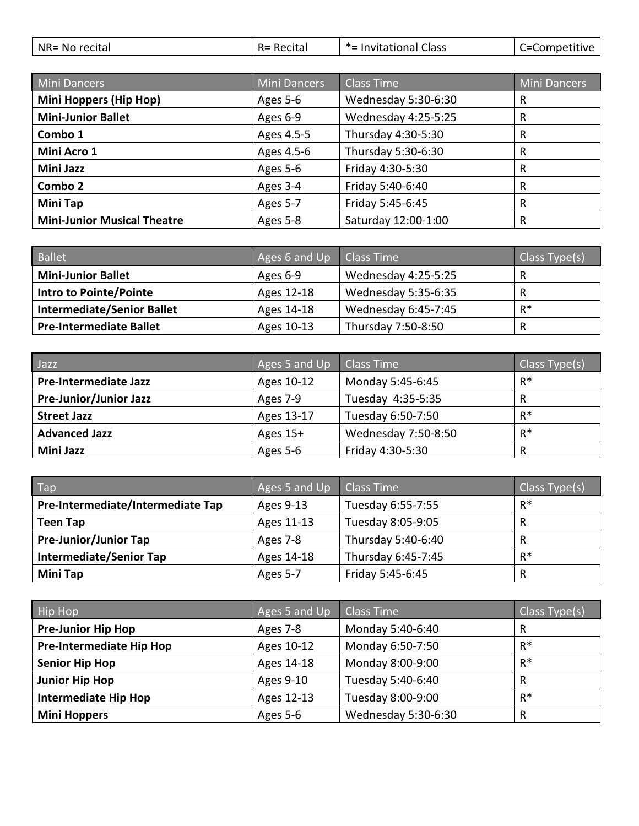| NR= No recital | Recital<br>$R =$ | *= Invitational Class | C=Competitive |
|----------------|------------------|-----------------------|---------------|
|                |                  |                       |               |

| Mini Dancers                       | <b>Mini Dancers</b> | <b>Class Time</b>   | <b>Mini Dancers</b> |
|------------------------------------|---------------------|---------------------|---------------------|
| Mini Hoppers (Hip Hop)             | Ages 5-6            | Wednesday 5:30-6:30 | $\mathsf{R}$        |
| <b>Mini-Junior Ballet</b>          | Ages 6-9            | Wednesday 4:25-5:25 | $\mathsf{R}$        |
| Combo 1                            | Ages 4.5-5          | Thursday 4:30-5:30  | $\mathsf{R}$        |
| Mini Acro 1                        | Ages 4.5-6          | Thursday 5:30-6:30  | $\mathsf{R}$        |
| Mini Jazz                          | Ages 5-6            | Friday 4:30-5:30    | $\mathsf{R}$        |
| Combo 2                            | Ages 3-4            | Friday 5:40-6:40    | $\mathsf{R}$        |
| Mini Tap                           | Ages 5-7            | Friday 5:45-6:45    | $\mathsf{R}$        |
| <b>Mini-Junior Musical Theatre</b> | Ages 5-8            | Saturday 12:00-1:00 | $\mathsf{R}$        |

| <b>Ballet</b>                     | Ages 6 and Up | Class Time                 | Class Type(s) |
|-----------------------------------|---------------|----------------------------|---------------|
| <b>Mini-Junior Ballet</b>         | Ages 6-9      | Wednesday 4:25-5:25        | R             |
| Intro to Pointe/Pointe            | Ages 12-18    | <b>Wednesday 5:35-6:35</b> | R             |
| <b>Intermediate/Senior Ballet</b> | Ages 14-18    | Wednesday 6:45-7:45        | $R^*$         |
| <b>Pre-Intermediate Ballet</b>    | Ages 10-13    | Thursday 7:50-8:50         | R             |

| Jazz                         | Ages 5 and Up | Class Time          | Class Type(s) |
|------------------------------|---------------|---------------------|---------------|
| <b>Pre-Intermediate Jazz</b> | Ages 10-12    | Monday 5:45-6:45    | $R^*$         |
| Pre-Junior/Junior Jazz       | Ages 7-9      | Tuesday 4:35-5:35   | R             |
| <b>Street Jazz</b>           | Ages 13-17    | Tuesday 6:50-7:50   | $R^*$         |
| <b>Advanced Jazz</b>         | Ages 15+      | Wednesday 7:50-8:50 | $R^*$         |
| Mini Jazz                    | Ages 5-6      | Friday 4:30-5:30    | R             |

| Tap                               | Ages 5 and Up | Class Time         | Class Type(s) |
|-----------------------------------|---------------|--------------------|---------------|
| Pre-Intermediate/Intermediate Tap | Ages 9-13     | Tuesday 6:55-7:55  | $R^*$         |
| <b>Teen Tap</b>                   | Ages 11-13    | Tuesday 8:05-9:05  | R             |
| <b>Pre-Junior/Junior Tap</b>      | Ages 7-8      | Thursday 5:40-6:40 | R             |
| <b>Intermediate/Senior Tap</b>    | Ages 14-18    | Thursday 6:45-7:45 | $R^*$         |
| <b>Mini Tap</b>                   | Ages 5-7      | Friday 5:45-6:45   | R             |

| Hip Hop                         | Ages 5 and Up | <b>Class Time</b>   | Class Type(s) |
|---------------------------------|---------------|---------------------|---------------|
| <b>Pre-Junior Hip Hop</b>       | Ages 7-8      | Monday 5:40-6:40    | R             |
| <b>Pre-Intermediate Hip Hop</b> | Ages 10-12    | Monday 6:50-7:50    | $R^*$         |
| <b>Senior Hip Hop</b>           | Ages 14-18    | Monday 8:00-9:00    | $R^*$         |
| <b>Junior Hip Hop</b>           | Ages 9-10     | Tuesday 5:40-6:40   | R             |
| <b>Intermediate Hip Hop</b>     | Ages 12-13    | Tuesday 8:00-9:00   | $R^*$         |
| <b>Mini Hoppers</b>             | Ages 5-6      | Wednesday 5:30-6:30 | R             |